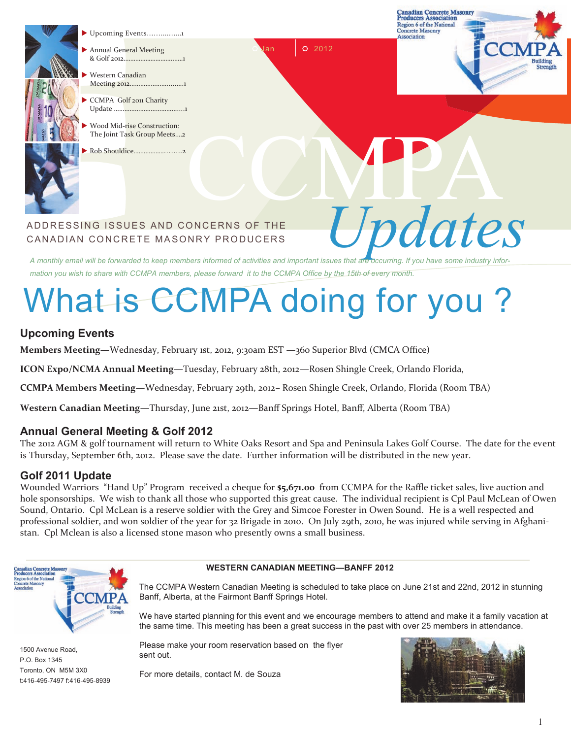

- Upcoming Events.……...…...1
- Annual General Meeting & Golf 2012....
- Western Canadian Meeting 2012………………….....….1
- CCMPA Golf 2011 Charity Update ………………………
- Wood Mid-rise Construction: The Joint Task Group Meets.…2
- Rob Shouldice……





# CCMPA ADDRESSING ISSUES AND CONCERNS OF THE  $Update$ CANADIAN CONCRETE MASONRY PRODUCERS

*A monthly email will be forwarded to keep members informed of activities and important issues that are occurring. If you have some industry information you wish to share with CCMPA members, please forward it to the CCMPA Office by the 15th of every month.*

# What is CCMPA doing for you?

## **Upcoming Events**

**Members Meeting—**Wednesday, February 1st, 2012, 9:30am EST —360 Superior Blvd (CMCA Office)

**ICON Expo/NCMA Annual Meeting—**Tuesday, February 28th, 2012—Rosen Shingle Creek, Orlando Florida,

**CCMPA Members Meeting**—Wednesday, February 29th, 2012– Rosen Shingle Creek, Orlando, Florida (Room TBA)

**Western Canadian Meeting**—Thursday, June 21st, 2012—Banff Springs Hotel, Banff, Alberta (Room TBA)

### **Annual General Meeting & Golf 2012**

The 2012 AGM & golf tournament will return to White Oaks Resort and Spa and Peninsula Lakes Golf Course. The date for the event is Thursday, September 6th, 2012. Please save the date. Further information will be distributed in the new year.

#### **Golf 2011 Update**

Wounded Warriors "Hand Up" Program received a cheque for **\$5,671.00** from CCMPA for the Raffle ticket sales, live auction and hole sponsorships. We wish to thank all those who supported this great cause. The individual recipient is Cpl Paul McLean of Owen Sound, Ontario. Cpl McLean is a reserve soldier with the Grey and Simcoe Forester in Owen Sound. He is a well respected and professional soldier, and won soldier of the year for 32 Brigade in 2010. On July 29th, 2010, he was injured while serving in Afghanistan. Cpl Mclean is also a licensed stone mason who presently owns a small business.



1500 Avenue Road, P.O. Box 1345 Toronto, ON M5M 3X0 t:416-495-7497 f:416-495-8939

### **WESTERN CANADIAN MEETING—BANFF 2012**

The CCMPA Western Canadian Meeting is scheduled to take place on June 21st and 22nd, 2012 in stunning Banff, Alberta, at the Fairmont Banff Springs Hotel.

We have started planning for this event and we encourage members to attend and make it a family vacation at the same time. This meeting has been a great success in the past with over 25 members in attendance.

Please make your room reservation based on the flyer sent out.

For more details, contact M. de Souza